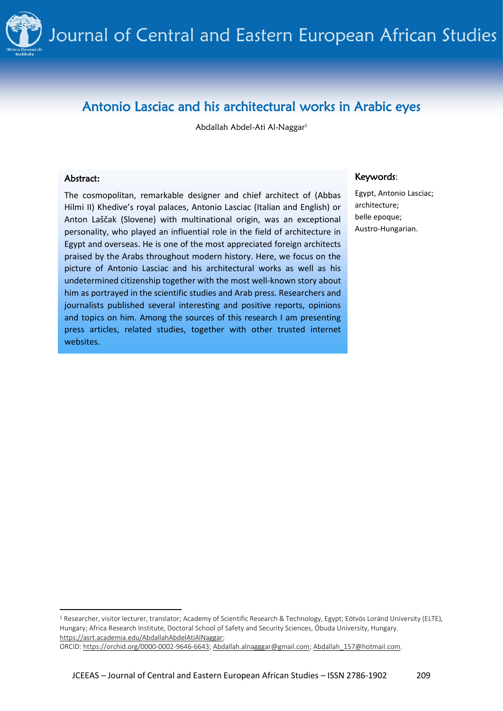

# Antonio Lasciac and his architectural works in Arabic eyes

Abdallah Abdel-Ati Al-Naggar<sup>1</sup>

#### Abstract:

The cosmopolitan, remarkable designer and chief architect of (Abbas Hilmi II) Khedive's royal palaces, Antonio Lasciac (Italian and English) or Anton Laščak (Slovene) with multinational origin, was an exceptional personality, who played an influential role in the field of architecture in Egypt and overseas. He is one of the most appreciated foreign architects praised by the Arabs throughout modern history. Here, we focus on the picture of Antonio Lasciac and his architectural works as well as his undetermined citizenship together with the most well-known story about him as portrayed in the scientific studies and Arab press. Researchers and journalists published several interesting and positive reports, opinions and topics on him. Among the sources of this research I am presenting press articles, related studies, together with other trusted internet websites.

#### Keywords:

Egypt, Antonio Lasciac; architecture; belle epoque; Austro-Hungarian.

ORCID[: https://orchid.org/0000-0002-9646-6643;](https://orchid.org/0000-0002-9646-6643) [Abdallah.alnagggar@gmail.com;](mailto:Abdallah.alnagggar@gmail.com) [Abdallah\\_157@hotmail.com.](mailto:Abdallah_157@hotmail.com)

<sup>1</sup> Researcher, visitor lecturer, translator; Academy of Scientific Research & Technology, Egypt; Eötvös Loránd University (ELTE), Hungary; Africa Research Institute, Doctoral School of Safety and Security Sciences, Óbuda University, Hungary. [https://asrt.academia.edu/AbdallahAbdelAtiAlNaggar;](https://asrt.academia.edu/AbdallahAbdelAtiAlNaggar)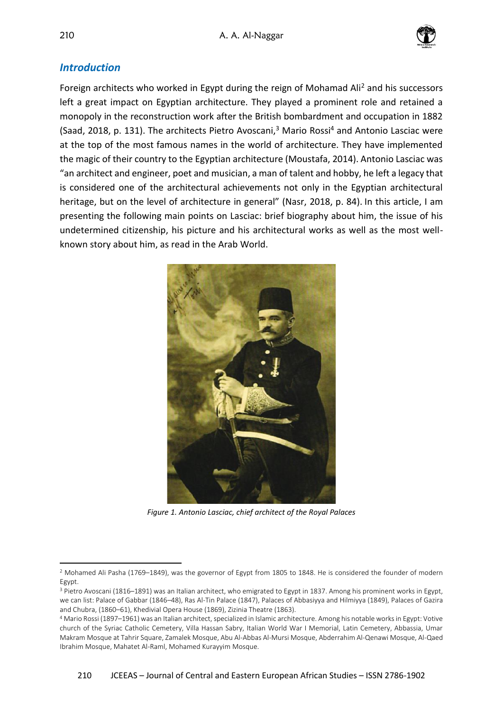

### *Introduction*

Foreign architects who worked in Egypt during the reign of Mohamad Ali<sup>2</sup> and his successors left a great impact on Egyptian architecture. They played a prominent role and retained a monopoly in the reconstruction work after the British bombardment and occupation in 1882 (Saad, 2018, p. 131). The architects Pietro Avoscani, $3$  Mario Rossi<sup>4</sup> and Antonio Lasciac were at the top of the most famous names in the world of architecture. They have implemented the magic of their country to the Egyptian architecture (Moustafa, 2014). Antonio Lasciac was "an architect and engineer, poet and musician, a man of talent and hobby, he left a legacy that is considered one of the architectural achievements not only in the Egyptian architectural heritage, but on the level of architecture in general" (Nasr, 2018, p. 84). In this article, I am presenting the following main points on Lasciac: brief biography about him, the issue of his undetermined citizenship, his picture and his architectural works as well as the most wellknown story about him, as read in the Arab World.



*Figure 1. Antonio Lasciac, chief architect of the Royal Palaces*

<sup>2</sup> Mohamed Ali Pasha (1769–1849), was the governor of Egypt from 1805 to 1848. He is considered the founder of modern Egypt.

<sup>3</sup> Pietro Avoscani (1816–1891) was an Italian architect, who emigrated to Egypt in 1837. Among his prominent works in Egypt, we can list: Palace of Gabbar (1846–48), Ras Al-Tin Palace (1847), Palaces of Abbasiyya and Hilmiyya (1849), Palaces of Gazira and Chubra, (1860–61), Khedivial Opera House (1869), Zizinia Theatre (1863).

<sup>4</sup> Mario Rossi (1897–1961) was an Italian architect, specialized in Islamic architecture. Among his notable works in Egypt: Votive church of the Syriac Catholic Cemetery, Villa Hassan Sabry, Italian World War I Memorial, Latin Cemetery, Abbassia, Umar Makram Mosque at Tahrir Square, Zamalek Mosque, Abu Al-Abbas Al-Mursi Mosque, Abderrahim Al-Qenawi Mosque, Al-Qaed Ibrahim Mosque, Mahatet Al-Raml, Mohamed Kurayyim Mosque.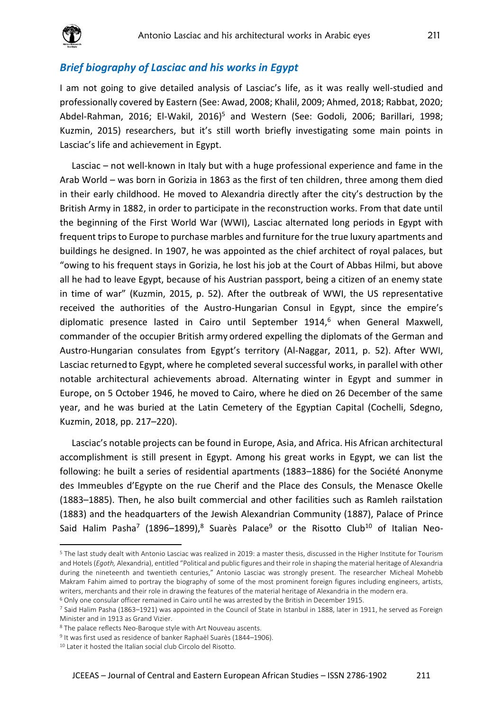

#### *Brief biography of Lasciac and his works in Egypt*

I am not going to give detailed analysis of Lasciac's life, as it was really well-studied and professionally covered by Eastern (See: Awad, 2008; Khalil, 2009; Ahmed, 2018; Rabbat, 2020; Abdel-Rahman, 2016; El-Wakil, 2016)<sup>5</sup> and Western (See: Godoli, 2006; Barillari, 1998; Kuzmin, 2015) researchers, but it's still worth briefly investigating some main points in Lasciac's life and achievement in Egypt.

Lasciac – not well-known in Italy but with a huge professional experience and fame in the Arab World – was born in Gorizia in 1863 as the first of ten children, three among them died in their early childhood. He moved to Alexandria directly after the city's destruction by the British Army in 1882, in order to participate in the reconstruction works. From that date until the beginning of the First World War (WWI), Lasciac alternated long periods in Egypt with frequent trips to Europe to purchase marbles and furniture for the true luxury apartments and buildings he designed. In 1907, he was appointed as the chief architect of royal palaces, but "owing to his frequent stays in Gorizia, he lost his job at the Court of Abbas Hilmi, but above all he had to leave Egypt, because of his Austrian passport, being a citizen of an enemy state in time of war" (Kuzmin, 2015, p. 52). After the outbreak of WWI, the US representative received the authorities of the Austro-Hungarian Consul in Egypt, since the empire's diplomatic presence lasted in Cairo until September 1914,<sup>6</sup> when General Maxwell, commander of the occupier British army ordered expelling the diplomats of the German and Austro-Hungarian consulates from Egypt's territory (Al-Naggar, 2011, p. 52). After WWI, Lasciac returnedto Egypt, where he completed several successful works, in parallel with other notable architectural achievements abroad. Alternating winter in Egypt and summer in Europe, on 5 October 1946, he moved to Cairo, where he died on 26 December of the same year, and he was buried at the Latin Cemetery of the Egyptian Capital (Cochelli, Sdegno, Kuzmin, 2018, pp. 217–220).

Lasciac's notable projects can be found in Europe, Asia, and Africa. His African architectural accomplishment is still present in Egypt. Among his great works in Egypt, we can list the following: he built a series of residential apartments (1883–1886) for the Société Anonyme des Immeubles d'Egypte on the rue Cherif and the Place des Consuls, the Menasce Okelle (1883–1885). Then, he also built commercial and other facilities such as Ramleh railstation (1883) and the headquarters of the Jewish Alexandrian Community (1887), Palace of Prince Said Halim Pasha<sup>7</sup> (1896–1899),<sup>8</sup> Suarès Palace<sup>9</sup> or the Risotto Club<sup>10</sup> of Italian Neo-

<sup>5</sup> The last study dealt with Antonio Lasciac was realized in 2019: a master thesis, discussed in the Higher Institute for Tourism and Hotels (*Egoth,* Alexandria), entitled "Political and public figures and their role in shaping the material heritage of Alexandria during the nineteenth and twentieth centuries," Antonio Lasciac was strongly present. The researcher Micheal Mohebb Makram Fahim aimed to portray the biography of some of the most prominent foreign figures including engineers, artists, writers, merchants and their role in drawing the features of the material heritage of Alexandria in the modern era.

<sup>6</sup> Only one consular officer remained in Cairo until he was arrested by the British in December 1915.

<sup>7</sup> Said Halim Pasha (1863–1921) was appointed in the Council of State in Istanbul in 1888, later in 1911, he served as Foreign Minister and in 1913 as Grand Vizier.

<sup>8</sup> The palace reflects Neo-Baroque style with Art Nouveau ascents.

<sup>&</sup>lt;sup>9</sup> It was first used as residence of banker Raphaël Suarès (1844–1906).

<sup>10</sup> Later it hosted the Italian social club Circolo del Risotto.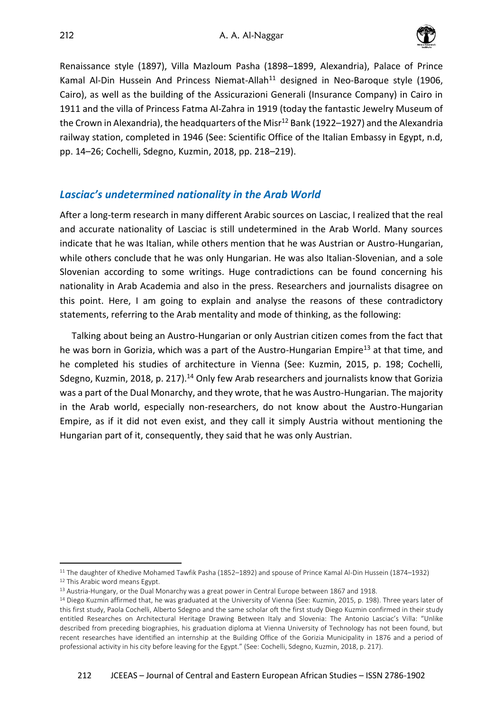

Renaissance style (1897), Villa Mazloum Pasha (1898–1899, Alexandria), Palace of Prince Kamal Al-Din Hussein And Princess Niemat-Allah<sup>11</sup> designed in Neo-Baroque style (1906, Cairo), as well as the building of the Assicurazioni Generali (Insurance Company) in Cairo in 1911 and the villa of Princess Fatma Al-Zahra in 1919 (today the fantastic Jewelry Museum of the Crown in Alexandria), the headquarters of the Misr<sup>12</sup> Bank (1922–1927) and the Alexandria railway station, completed in 1946 (See: Scientific Office of the Italian Embassy in Egypt, n.d, pp. 14–26; Cochelli, Sdegno, Kuzmin, 2018, pp. 218–219).

# *Lasciac's undetermined nationality in the Arab World*

After a long-term research in many different Arabic sources on Lasciac, I realized that the real and accurate nationality of Lasciac is still undetermined in the Arab World. Many sources indicate that he was Italian, while others mention that he was Austrian or Austro-Hungarian, while others conclude that he was only Hungarian. He was also Italian-Slovenian, and a sole Slovenian according to some writings. Huge contradictions can be found concerning his nationality in Arab Academia and also in the press. Researchers and journalists disagree on this point. Here, I am going to explain and analyse the reasons of these contradictory statements, referring to the Arab mentality and mode of thinking, as the following:

Talking about being an Austro-Hungarian or only Austrian citizen comes from the fact that he was born in Gorizia, which was a part of the Austro-Hungarian Empire<sup>13</sup> at that time, and he completed his studies of architecture in Vienna (See: Kuzmin, 2015, p. 198; Cochelli, Sdegno, Kuzmin, 2018, p. 217).<sup>14</sup> Only few Arab researchers and journalists know that Gorizia was a part of the Dual Monarchy, and they wrote, that he was Austro-Hungarian. The majority in the Arab world, especially non-researchers, do not know about the Austro-Hungarian Empire, as if it did not even exist, and they call it simply Austria without mentioning the Hungarian part of it, consequently, they said that he was only Austrian.

<sup>11</sup> The daughter of Khedive Mohamed Tawfik Pasha (1852–1892) and spouse of Prince Kamal Al-Din Hussein (1874–1932) <sup>12</sup> This Arabic word means Egypt.

<sup>&</sup>lt;sup>13</sup> Austria-Hungary, or the Dual Monarchy was a great power in Central Europe between 1867 and 1918.

<sup>14</sup> Diego Kuzmin affirmed that, he was graduated at the University of Vienna (See: Kuzmin, 2015, p. 198). Three years later of this first study, Paola Cochelli, Alberto Sdegno and the same scholar oft the first study Diego Kuzmin confirmed in their study entitled Researches on Architectural Heritage Drawing Between Italy and Slovenia: The Antonio Lasciac's Villa: "Unlike described from preceding biographies, his graduation diploma at Vienna University of Technology has not been found, but recent researches have identified an internship at the Building Office of the Gorizia Municipality in 1876 and a period of professional activity in his city before leaving for the Egypt." (See: Cochelli, Sdegno, Kuzmin, 2018, p. 217).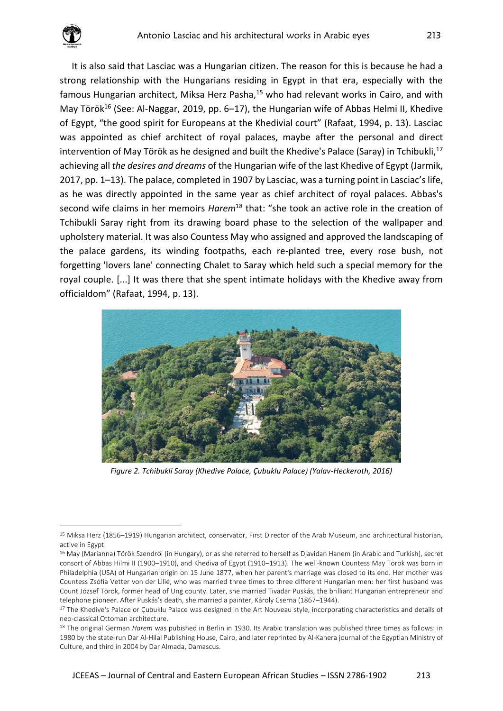

It is also said that Lasciac was a Hungarian citizen. The reason for this is because he had a strong relationship with the Hungarians residing in Egypt in that era, especially with the famous Hungarian architect, Miksa Herz Pasha,<sup>15</sup> who had relevant works in Cairo, and with May Török<sup>16</sup> (See: Al-Naggar, 2019, pp. 6–17), the Hungarian wife of Abbas Helmi II, Khedive of Egypt, "the good spirit for Europeans at the Khedivial court" (Rafaat, 1994, p. 13). Lasciac was appointed as chief architect of royal palaces, maybe after the personal and direct intervention of May Török as he designed and built the Khedive's Palace (Saray) in Tchibukli,<sup>17</sup> achieving all *the desires and dreams* of the Hungarian wife of the last Khedive of Egypt (Jarmik, 2017, pp. 1–13). The palace, completed in 1907 by Lasciac, was a turning point in Lasciac's life, as he was directly appointed in the same year as chief architect of royal palaces. Abbas's second wife claims in her memoirs *Harem*<sup>18</sup> that: "she took an active role in the creation of Tchibukli Saray right from its drawing board phase to the selection of the wallpaper and upholstery material. It was also Countess May who assigned and approved the landscaping of the palace gardens, its winding footpaths, each re-planted tree, every rose bush, not forgetting 'lovers lane' connecting Chalet to Saray which held such a special memory for the royal couple. [...] It was there that she spent intimate holidays with the Khedive away from officialdom" (Rafaat, 1994, p. 13).



*Figure 2. Tchibukli Saray (Khedive Palace, Çubuklu Palace) (Yalav-Heckeroth, 2016)*

<sup>15</sup> Miksa Herz (1856–1919) Hungarian architect, conservator, First Director of the Arab Museum, and architectural historian, active in Egypt.

<sup>&</sup>lt;sup>16</sup> May (Marianna) Török Szendrői (in Hungary), or as she referred to herself as Djavidan Hanem (in Arabic and Turkish), secret consort of Abbas Hilmi II (1900–1910), and Khediva of Egypt (1910–1913). The well-known Countess May Török was born in Philadelphia (USA) of Hungarian origin on 15 June 1877, when her parent's marriage was closed to its end. Her mother was Countess Zsófia Vetter von der Lilié, who was married three times to three different Hungarian men: her first husband was Count József Török, former head of Ung county. Later, she married Tivadar Puskás, the brilliant Hungarian entrepreneur and telephone pioneer. After Puskás's death, she married a painter, Károly Cserna (1867–1944).

<sup>&</sup>lt;sup>17</sup> The Khedive's Palace or Çubuklu Palace was designed in the Art Nouveau style, incorporating characteristics and details of neo-classical Ottoman architecture.

<sup>18</sup> The original German *Harem* was pubished in Berlin in 1930. Its Arabic translation was published three times as follows: in 1980 by the state-run Dar Al-Hilal Publishing House, Cairo, and later reprinted by Al-Kahera journal of the Egyptian Ministry of Culture, and third in 2004 by Dar Almada, Damascus.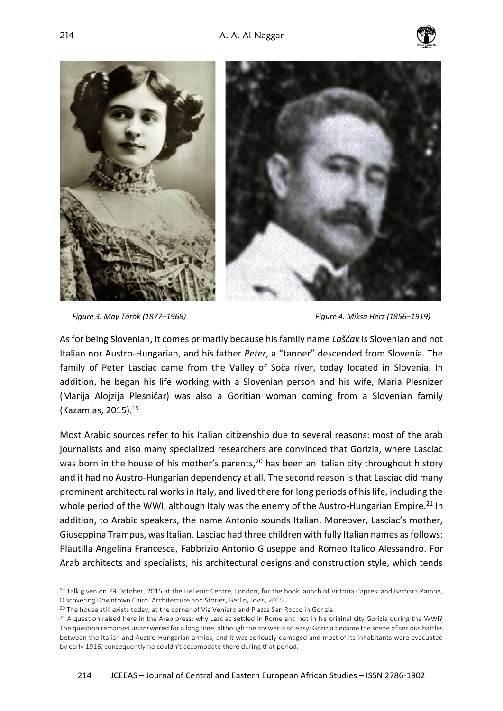



*Figure 3. May Török (1877–1968) Figure 4. Miksa Herz (1856–1919)*

As for being Slovenian, it comes primarily because his family name *Laščak* is Slovenian and not Italian nor Austro-Hungarian, and his father *Peter*, a "tanner" descended from Slovenia. The family of Peter Lasciac came from the Valley of Soča river, today located in Slovenia. In addition, he began his life working with a Slovenian person and his wife, Maria Plesnizer (Marija Alojzija Plesničar) was also a Goritian woman coming from a Slovenian family (Kazamias, 2015).<sup>19</sup>

Most Arabic sources refer to his Italian citizenship due to several reasons: most of the arab journalists and also many specialized researchers are convinced that Gorizia, where Lasciac was born in the house of his mother's parents,  $20$  has been an Italian city throughout history and it had no Austro-Hungarian dependency at all. The second reason is that Lasciac did many prominent architectural works in Italy, and lived there for long periods of his life, including the whole period of the WWI, although Italy was the enemy of the Austro-Hungarian Empire.<sup>21</sup> In addition, to Arabic speakers, the name Antonio sounds Italian. Moreover, Lasciac's mother, Giuseppina Trampus, was Italian. Lasciac had three children with fully Italian names as follows: Plautilla Angelina Francesca, Fabbrizio Antonio Giuseppe and Romeo Italico Alessandro. For Arab architects and specialists, his architectural designs and construction style, which tends

<sup>&</sup>lt;sup>19</sup> Talk given on 29 October, 2015 at the Hellenic Centre, London, for the book launch of Vittoria Capresi and Barbara Pampe, Discovering Downtown Cairo: Architecture and Stories, Berlin, Jovis, 2015.

<sup>&</sup>lt;sup>20</sup> The house still exists today, at the corner of Via Veniero and Piazza San Rocco in Gorizia.

<sup>&</sup>lt;sup>21</sup> A question raised here in the Arab press: why Lasciac settled in Rome and not in his original city Gorizia during the WWI? The question remained unanswered for a long time, although the answer is so easy: Gorizia became the scene of serious battles between the Italian and Austro-Hungarian armies, and it was seriously damaged and most of its inhabitants were evacuated by early 1916, consequently he couldn't accomodate there during that period.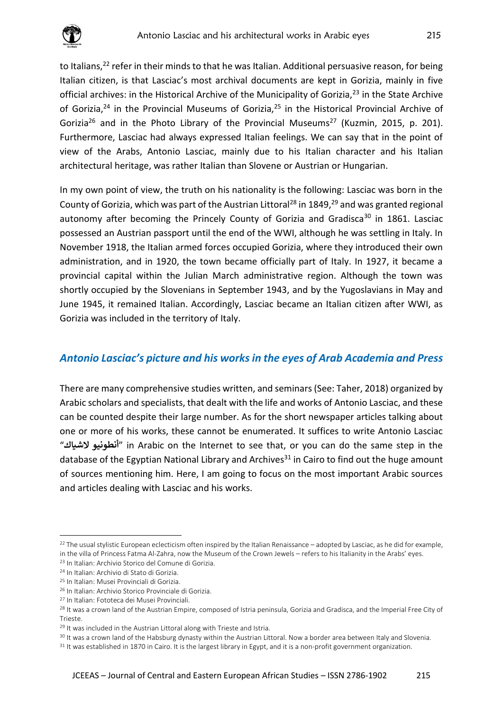

to Italians,<sup>22</sup> refer in their minds to that he was Italian. Additional persuasive reason, for being Italian citizen, is that Lasciac's most archival documents are kept in Gorizia, mainly in five official archives: in the Historical Archive of the Municipality of Gorizia,<sup>23</sup> in the State Archive of Gorizia,<sup>24</sup> in the Provincial Museums of Gorizia,<sup>25</sup> in the Historical Provincial Archive of Gorizia<sup>26</sup> and in the Photo Library of the Provincial Museums<sup>27</sup> (Kuzmin, 2015, p. 201). Furthermore, Lasciac had always expressed Italian feelings. We can say that in the point of view of the Arabs, Antonio Lasciac, mainly due to his Italian character and his Italian architectural heritage, was rather Italian than Slovene or Austrian or Hungarian.

In my own point of view, the truth on his nationality is the following: Lasciac was born in the County of Gorizia, which was part of the Austrian Littoral<sup>28</sup> in 1849,<sup>29</sup> and was granted regional autonomy after becoming the Princely County of Gorizia and Gradisca<sup>30</sup> in 1861. Lasciac possessed an Austrian passport until the end of the WWI, although he was settling in Italy. In November 1918, the Italian armed forces occupied Gorizia, where they introduced their own administration, and in 1920, the town became officially part of Italy. In 1927, it became a provincial capital within the Julian March administrative region. Although the town was shortly occupied by the Slovenians in September 1943, and by the Yugoslavians in May and June 1945, it remained Italian. Accordingly, Lasciac became an Italian citizen after WWI, as Gorizia was included in the territory of Italy.

# *Antonio Lasciac's picture and his works in the eyes of Arab Academia and Press*

There are many comprehensive studies written, and seminars (See: Taher, 2018) organized by Arabic scholars and specialists, that dealt with the life and works of Antonio Lasciac, and these can be counted despite their large number. As for the short newspaper articles talking about one or more of his works, these cannot be enumerated. It suffices to write Antonio Lasciac "**الشياك أنطونيو** "in Arabic on the Internet to see that, or you can do the same step in the database of the Egyptian National Library and Archives<sup>31</sup> in Cairo to find out the huge amount of sources mentioning him. Here, I am going to focus on the most important Arabic sources and articles dealing with Lasciac and his works.

<sup>&</sup>lt;sup>22</sup> The usual stylistic European eclecticism often inspired by the Italian Renaissance – adopted by Lasciac, as he did for example, in the villa of Princess Fatma Al-Zahra, now the Museum of the Crown Jewels – refers to his Italianity in the Arabs' eyes.

<sup>23</sup> In Italian: Archivio Storico del Comune di Gorizia.

<sup>24</sup> In Italian: Archivio di Stato di Gorizia.

<sup>25</sup> In Italian: Musei Provinciali di Gorizia.

<sup>26</sup> In Italian: Archivio Storico Provinciale di Gorizia.

<sup>27</sup> In Italian: Fototeca dei Musei Provinciali.

<sup>&</sup>lt;sup>28</sup> It was a crown land of the Austrian Empire, composed of Istria peninsula, Gorizia and Gradisca, and the Imperial Free City of Trieste.

<sup>&</sup>lt;sup>29</sup> It was included in the Austrian Littoral along with Trieste and Istria.

<sup>&</sup>lt;sup>30</sup> It was a crown land of the Habsburg dynasty within the Austrian Littoral. Now a border area between Italy and Slovenia.

<sup>&</sup>lt;sup>31</sup> It was established in 1870 in Cairo. It is the largest library in Egypt, and it is a non-profit government organization.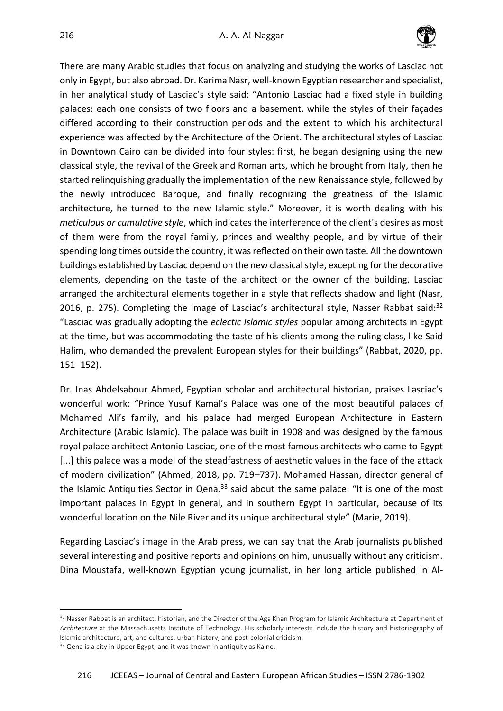

There are many Arabic studies that focus on analyzing and studying the works of Lasciac not only in Egypt, but also abroad. Dr. Karima Nasr, well-known Egyptian researcher and specialist, in her analytical study of Lasciac's style said: "Antonio Lasciac had a fixed style in building palaces: each one consists of two floors and a basement, while the styles of their façades differed according to their construction periods and the extent to which his architectural experience was affected by the Architecture of the Orient. The architectural styles of Lasciac in Downtown Cairo can be divided into four styles: first, he began designing using the new classical style, the revival of the Greek and Roman arts, which he brought from Italy, then he started relinquishing gradually the implementation of the new Renaissance style, followed by the newly introduced Baroque, and finally recognizing the greatness of the Islamic architecture, he turned to the new Islamic style." Moreover, it is worth dealing with his *meticulous or cumulative style*, which indicates the interference of the client's desires as most of them were from the royal family, princes and wealthy people, and by virtue of their spending long times outside the country, it was reflected on their own taste. All the downtown buildings established by Lasciac depend on the new classical style, excepting for the decorative elements, depending on the taste of the architect or the owner of the building. Lasciac arranged the architectural elements together in a style that reflects shadow and light (Nasr, 2016, p. 275). Completing the image of Lasciac's architectural style, Nasser Rabbat said: $32$ "Lasciac was gradually adopting the *eclectic Islamic styles* popular among architects in Egypt at the time, but was accommodating the taste of his clients among the ruling class, like Said Halim, who demanded the prevalent European styles for their buildings" (Rabbat, 2020, pp. 151–152).

Dr. Inas Abdelsabour Ahmed, Egyptian scholar and architectural historian, praises Lasciac's wonderful work: "Prince Yusuf Kamal's Palace was one of the most beautiful palaces of Mohamed Ali's family, and his palace had merged European Architecture in Eastern Architecture (Arabic Islamic). The palace was built in 1908 and was designed by the famous royal palace architect Antonio Lasciac, one of the most famous architects who came to Egypt [...] this palace was a model of the steadfastness of aesthetic values in the face of the attack of modern civilization" (Ahmed, 2018, pp. 719–737). Mohamed Hassan, director general of the Islamic Antiquities Sector in Qena, $^{33}$  said about the same palace: "It is one of the most important palaces in Egypt in general, and in southern Egypt in particular, because of its wonderful location on the Nile River and its unique architectural style" (Marie, 2019).

Regarding Lasciac's image in the Arab press, we can say that the Arab journalists published several interesting and positive reports and opinions on him, unusually without any criticism. Dina Moustafa, well-known Egyptian young journalist, in her long article published in Al-

<sup>&</sup>lt;sup>32</sup> Nasser Rabbat is an architect, historian, and the Director of the Aga Khan Program for Islamic Architecture at Department of *Architecture* at the Massachusetts Institute of Technology. His scholarly interests include the history and historiography of Islamic architecture, art, and cultures, urban history, and post-colonial criticism.

<sup>33</sup> Qena is a city in Upper Egypt, and it was known in antiquity as Kaine.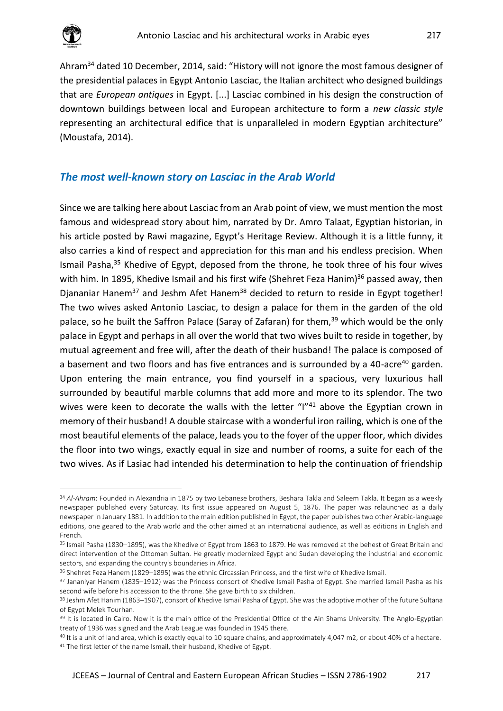

Ahram<sup>34</sup> dated 10 December, 2014, said: "History will not ignore the most famous designer of the presidential palaces in Egypt Antonio Lasciac, the Italian architect who designed buildings that are *European antiques* in Egypt. [...] Lasciac combined in his design the construction of downtown buildings between local and European architecture to form a *new classic style* representing an architectural edifice that is unparalleled in modern Egyptian architecture" (Moustafa, 2014).

#### *The most well-known story on Lasciac in the Arab World*

Since we are talking here about Lasciac from an Arab point of view, we must mention the most famous and widespread story about him, narrated by Dr. Amro Talaat, Egyptian historian, in his article posted by Rawi magazine, Egypt's Heritage Review. Although it is a little funny, it also carries a kind of respect and appreciation for this man and his endless precision.When Ismail Pasha,<sup>35</sup> Khedive of Egypt, deposed from the throne, he took three of his four wives with him. In 1895, Khedive Ismail and his first wife (Shehret Feza Hanim) $36$  passed away, then Djananiar Hanem<sup>37</sup> and Jeshm Afet Hanem<sup>38</sup> decided to return to reside in Egypt together! The two wives asked Antonio Lasciac, to design a palace for them in the garden of the old palace, so he built the Saffron Palace (Saray of Zafaran) for them,<sup>39</sup> which would be the only palace in Egypt and perhaps in all over the world that two wives built to reside in together, by mutual agreement and free will, after the death of their husband! The palace is composed of a basement and two floors and has five entrances and is surrounded by a 40-acre<sup>40</sup> garden. Upon entering the main entrance, you find yourself in a spacious, very luxurious hall surrounded by beautiful marble columns that add more and more to its splendor. The two wives were keen to decorate the walls with the letter "I"<sup>41</sup> above the Egyptian crown in memory of their husband! A double staircase with a wonderful iron railing, which is one of the most beautiful elements of the palace, leads you to the foyer of the upper floor, which divides the floor into two wings, exactly equal in size and number of rooms, a suite for each of the two wives. As if Lasiac had intended his determination to help the continuation of friendship

<sup>34</sup> *Al-Ahram*: Founded in Alexandria in 1875 by two Lebanese brothers, Beshara Takla and Saleem Takla. It began as a weekly newspaper published every Saturday. Its first issue appeared on August 5, 1876. The paper was relaunched as a daily newspaper in January 1881. In addition to the main edition published in Egypt, the paper publishes two other Arabic-language editions, one geared to the Arab world and the other aimed at an international audience, as well as editions in English and French.

<sup>35</sup> Ismail Pasha (1830–1895), was the Khedive of Egypt from 1863 to 1879. He was removed at the behest of Great Britain and direct intervention of the Ottoman Sultan. He greatly modernized Egypt and Sudan developing the industrial and economic sectors, and expanding the country's boundaries in Africa.

<sup>36</sup> Shehret Feza Hanem (1829–1895) was the ethnic Circassian Princess, and the first wife of Khedive Ismail.

<sup>&</sup>lt;sup>37</sup> Jananiyar Hanem (1835–1912) was the Princess consort of Khedive Ismail Pasha of Egypt. She married Ismail Pasha as his second wife before his accession to the throne. She gave birth to six children.

<sup>38</sup> Jeshm Afet Hanim (1863-1907), consort of Khedive Ismail Pasha of Egypt. She was the adoptive mother of the future Sultana of Egypt Melek Tourhan.

<sup>&</sup>lt;sup>39</sup> It is located in Cairo. Now it is the main office of the Presidential Office of the Ain Shams University. The Anglo-Egyptian treaty of 1936 was signed and the Arab League was founded in 1945 there.

<sup>40</sup> It is a unit of land area, which is exactly equal to 10 square chains, and approximately 4,047 m2, or about 40% of a hectare. <sup>41</sup> The first letter of the name Ismail, their husband, Khedive of Egypt.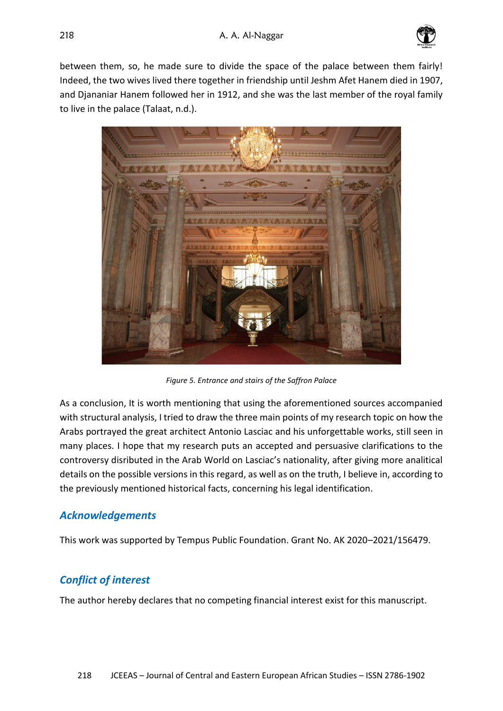

between them, so, he made sure to divide the space of the palace between them fairly! Indeed, the two wives lived there together in friendship until Jeshm Afet Hanem died in 1907, and Djananiar Hanem followed her in 1912, and she was the last member of the royal family to live in the palace (Talaat, n.d.).



*Figure 5. Entrance and stairs of the Saffron Palace*

As a conclusion, It is worth mentioning that using the aforementioned sources accompanied with structural analysis, I tried to draw the three main points of my research topic on how the Arabs portrayed the great architect Antonio Lasciac and his unforgettable works, still seen in many places. I hope that my research puts an accepted and persuasive clarifications to the controversy disributed in the Arab World on Lasciac's nationality, after giving more analitical details on the possible versions in this regard, as well as on the truth, I believe in, according to the previously mentioned historical facts, concerning his legal identification.

# *Acknowledgements*

This work was supported by Tempus Public Foundation. Grant No. AK 2020–2021/156479.

# *Conflict of interest*

The author hereby declares that no competing financial interest exist for this manuscript.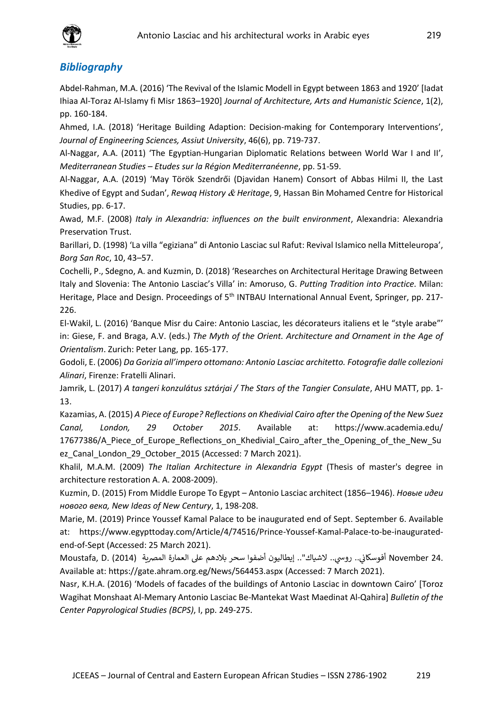

#### *Bibliography*

Abdel-Rahman, M.A. (2016) 'The Revival of the Islamic Modell in Egypt between 1863 and 1920' [Iadat Ihiaa Al-Toraz Al-Islamy fi Misr 1863–1920] *Journal of Architecture, Arts and Humanistic Science*, 1(2), pp. 160-184.

Ahmed, I.A. (2018) 'Heritage Building Adaption: Decision-making for Contemporary Interventions', *Journal of Engineering Sciences, Assiut University*, 46(6), pp. 719-737.

Al-Naggar, A.A. (2011) 'The Egyptian-Hungarian Diplomatic Relations between World War I and II', *Mediterranean Studies – Etudes sur la Région Mediterranéenne*, pp. 51-59.

Al-Naggar, A.A. (2019) 'May Török Szendrői (Djavidan Hanem) Consort of Abbas Hilmi II, the Last Khedive of Egypt and Sudan', *Rewaq History & Heritage*, 9, Hassan Bin Mohamed Centre for Historical Studies, pp. 6-17.

Awad, M.F. (2008) *Italy in Alexandria: influences on the built environment*, Alexandria: Alexandria Preservation Trust.

Barillari, D. (1998) 'La villa "egiziana" di Antonio Lasciac sul Rafut: Revival Islamico nella Mitteleuropa', *Borg San Roc*, 10, 43–57.

Cochelli, P., Sdegno, A. and Kuzmin, D. (2018) 'Researches on Architectural Heritage Drawing Between Italy and Slovenia: The Antonio Lasciac's Villa' in: Amoruso, G. *Putting Tradition into Practice.* Milan: Heritage, Place and Design. Proceedings of 5<sup>th</sup> INTBAU International Annual Event, Springer, pp. 217-226.

El-Wakil, L. (2016) 'Banque Misr du Caire: Antonio Lasciac, les décorateurs italiens et le "style arabe"' in: Giese, F. and Braga, A.V. (eds.) *The Myth of the Orient. Architecture and Ornament in the Age of Orientalism*. Zurich: Peter Lang, pp. 165-177.

Godoli, E. (2006) *Da Gorizia all'impero ottomano: Antonio Lasciac architetto. Fotografie dalle collezioni Alinari*, Firenze: Fratelli Alinari.

Jamrik, L. (2017) *A tangeri konzulátus sztárjai / The Stars of the Tangier Consulate*, AHU MATT, pp. 1- 13.

Kazamias, A. (2015) *A Piece of Europe? Reflections on Khedivial Cairo after the Opening of the New Suez Canal, London, 29 October 2015*. Available at: <https://www.academia.edu/> 17677386/A\_Piece\_of\_Europe\_Reflections\_on\_Khedivial\_Cairo\_after\_the\_Opening\_of\_the\_New\_Su ez Canal London 29 October 2015 (Accessed: 7 March 2021).

Khalil, M.A.M. (2009) *The Italian Architecture in Alexandria Egypt* (Thesis of master's degree in architecture restoration A. A. 2008-2009).

Kuzmin, D. (2015) From Middle Europe To Egypt – Antonio Lasciac architect (1856–1946). *Новые идеи нового века, New Ideas of New Century*, 1, 198-208.

Marie, M. (2019) Prince Youssef Kamal Palace to be inaugurated end of Sept. September 6. Available at: https://www.egypttoday.com/Article/4/74516/Prince-Youssef-Kamal-Palace-to-be-inauguratedend-of-Sept (Accessed: 25 March 2021).

.November 24 أفوسكاني.. روسي.. لاشياك".. إيطاليون أضفوا سحر بلادهم على العمارة المصرية (2014) .Moustafa, D. ي Available at: https://gate.ahram.org.eg/News/564453.aspx (Accessed: 7 March 2021).

Nasr, K.H.A. (2016) 'Models of facades of the buildings of Antonio Lasciac in downtown Cairo' [Toroz Wagihat Monshaat Al-Memary Antonio Lasciac Be-Mantekat Wast Maedinat Al-Qahira] *Bulletin of the Center Papyrological Studies (BCPS)*, I, pp. 249-275.